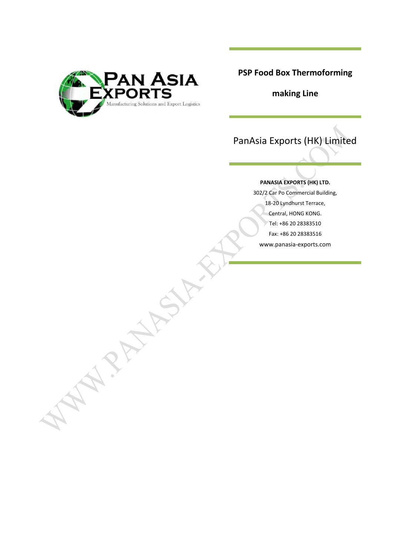

APANAH!

**PSP Food Box Thermoforming**

**making Line**

# PanAsia Exports (HK) Limited

## **PANASIA EXPORTS (HK) LTD.**

302/2 Car Po Commercial Building, 18-20 Lyndhurst Terrace, Central, HONG KONG. Tel: +86 20 28383510 Fax: +86 20 28383516 www.panasia-exports.com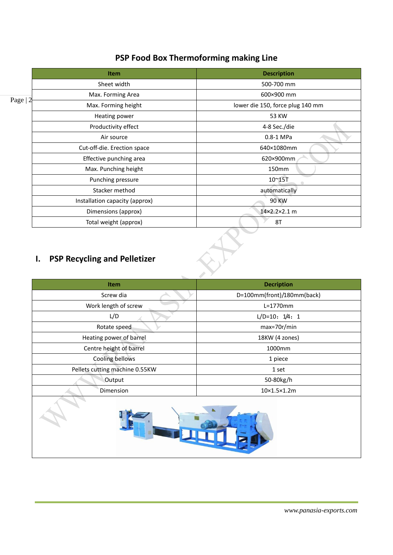|          | <b>Item</b>                    | <b>Description</b>               |
|----------|--------------------------------|----------------------------------|
|          | Sheet width                    | 500-700 mm                       |
| Page   2 | Max. Forming Area              | 600×900 mm                       |
|          | Max. Forming height            | lower die 150, force plug 140 mm |
|          | Heating power                  | 53 KW                            |
|          | Productivity effect            | 4-8 Sec./die                     |
|          | Air source                     | $0.8-1$ MPa                      |
|          | Cut-off-die. Erection space    | 640×1080mm                       |
|          | Effective punching area        | 620×900mm                        |
|          | Max. Punching height           | 150mm                            |
|          | Punching pressure              | 10~15T                           |
|          | Stacker method                 | automatically                    |
|          | Installation capacity (approx) | <b>90 KW</b>                     |
|          | Dimensions (approx)            | 14×2.2×2.1 m                     |
|          | Total weight (approx)          | 8T                               |

## **PSP Food Box Thermoforming making Line**

## **I. PSP Recycling and Pelletizer**

| <b>Item</b>                    | <b>Decription</b>          |
|--------------------------------|----------------------------|
| Screw dia                      | D=100mm(front)/180mm(back) |
| Work length of screw           | $L=1770$ mm                |
| L/D                            | $L/D=10: 1/4: 1$           |
| Rotate speed                   | max=70r/min                |
| Heating power of barrel        | 18KW (4 zones)             |
| Centre height of barrel        | 1000mm                     |
| Cooling bellows                | 1 piece                    |
| Pellets cutting machine 0.55KW | 1 set                      |
| Output                         | 50-80kg/h                  |
| Dimension                      | $10\times1.5\times1.2m$    |
|                                |                            |

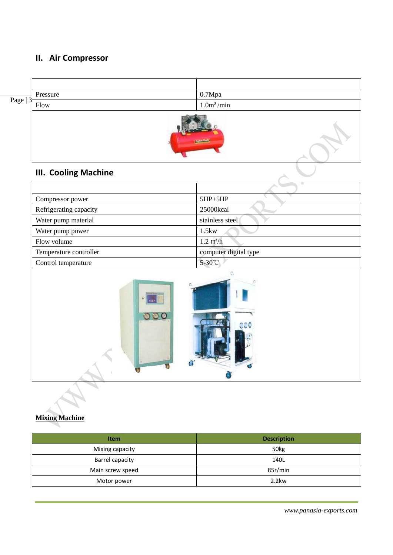## **II. Air Compressor**

| Page  <br>$\sim$<br><b>ب</b> | Pressure | 0.7Mpa                 |
|------------------------------|----------|------------------------|
|                              | Flow     | 1.0m <sup>3</sup> /min |
|                              |          |                        |

# **III. Cooling Machine**

| Compressor power       | $5HP + 5HP$           |
|------------------------|-----------------------|
| Refrigerating capacity | 25000kcal             |
| Water pump material    | stainless steel       |
| Water pump power       | 1.5kw                 |
| Flow volume            | $1.2 \text{ m}^2/h$   |
| Temperature controller | computer digital type |
| Control temperature    | 5-30°C                |

**Applement** 



## **Mixing Machine**

| <b>Item</b>      | <b>Description</b> |
|------------------|--------------------|
| Mixing capacity  | 50 <sub>kg</sub>   |
| Barrel capacity  | 140L               |
| Main screw speed | 85r/min            |
| Motor power      | 2.2kw              |

*www.panasia-exports.com*